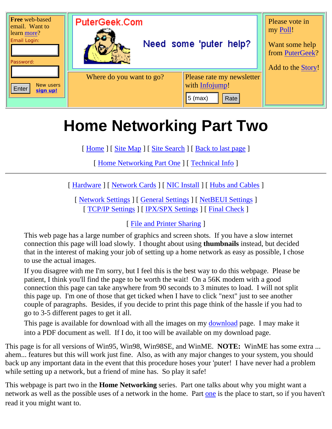

# **Home Networking Part Two**

[ [Home](http://www.putergeek.com/index.shtml) ] [ [Site Map](http://www.putergeek.com/sitemap/) ] [ [Site Search](http://www.putergeek.com/search/) ] [ [Back to last page](javascript:history.go(-1)) ]

[ [Home Networking Part One](http://www.putergeek.com/home_network/) ] [ [Technical Info](http://www.putergeek.com/home_network_2/tech_info.shtml) ]

[ [Hardware](#page-1-0) ] [ [Network Cards](#page-1-1) ] [ [NIC Install](#page-3-0) ] [ [Hubs and Cables](#page-4-0) ]

[ [Network Settings](#page-7-0) ] [ [General Settings](#page-8-0) ] [ [NetBEUI Settings](#page-14-0) ] [ [TCP/IP Settings](#page-16-0) ] [ [IPX/SPX Settings](#page-20-0) ] [ [Final Check](#page-21-0) ]

[ [File and Printer Sharing](#page-21-1) ]

This web page has a large number of graphics and screen shots. If you have a slow internet connection this page will load slowly. I thought about using **thumbnails** instead, but decided that in the interest of making your job of setting up a home network as easy as possible, I chose to use the actual images.

If you disagree with me I'm sorry, but I feel this is the best way to do this webpage. Please be patient, I think you'll find the page to be worth the wait! On a 56K modem with a good connection this page can take anywhere from 90 seconds to 3 minutes to load. I will not split this page up. I'm one of those that get ticked when I have to click "next" just to see another couple of paragraphs. Besides, if you decide to print this page think of the hassle if you had to go to 3-5 different pages to get it all.

This page is available for [download](http://www.putergeek.com/downloads/) with all the images on my download page. I may make it into a PDF document as well. If I do, it too will be available on my download page.

This page is for all versions of Win95, Win98, Win98SE, and WinME. **NOTE:** WinME has some extra ... ahem... features but this will work just fine. Also, as with any major changes to your system, you should back up any important data in the event that this procedure hoses your 'puter! I have never had a problem while setting up a network, but a friend of mine has. So play it safe!

This webpage is part two in the **Home Networking** series. Part one talks about why you might want a network as well as the possible uses of a network in the home. Part [one](http://www.putergeek.com/home_network/) is the place to start, so if you haven't read it you might want to.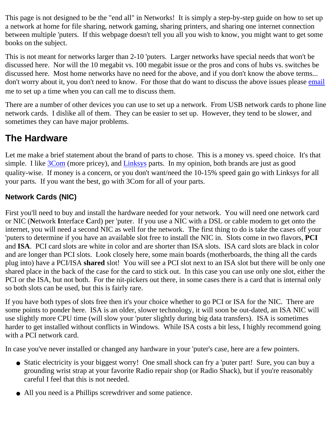This page is not designed to be the "end all" in Networks! It is simply a step-by-step guide on how to set up a network at home for file sharing, network gaming, sharing printers, and sharing one internet connection between multiple 'puters. If this webpage doesn't tell you all you wish to know, you might want to get some books on the subject.

This is not meant for networks larger than 2-10 'puters. Larger networks have special needs that won't be discussed here. Nor will the 10 megabit vs. 100 megabit issue or the pros and cons of hubs vs. switches be discussed here. Most home networks have no need for the above, and if you don't know the above terms... don't worry about it, you don't need to know. For those that do want to discuss the above issues please [email](mailto:webmaster@putergeek.com?SUBJECT= I want to call you to talk about network issues.) me to set up a time when you can call me to discuss them.

There are a number of other devices you can use to set up a network. From USB network cards to phone line network cards. I dislike all of them. They can be easier to set up. However, they tend to be slower, and sometimes they can have major problems.

# <span id="page-1-0"></span>**The Hardware**

Let me make a brief statement about the brand of parts to chose. This is a money vs. speed choice. It's that simple. I like  $3\text{Com}$  (more pricey), and [Linksys](http://www.linksys.com/) parts. In my opinion, both brands are just as good quality-wise. If money is a concern, or you don't want/need the 10-15% speed gain go with Linksys for all your parts. If you want the best, go with 3Com for all of your parts.

## <span id="page-1-1"></span>**Network Cards (NIC)**

First you'll need to buy and install the hardware needed for your network. You will need one network card or NIC (**N**etwork **I**nterface **C**ard) per 'puter. If you use a NIC with a DSL or cable modem to get onto the internet, you will need a second NIC as well for the network. The first thing to do is take the cases off your 'puters to determine if you have an available slot free to install the NIC in. Slots come in two flavors, **PCI** and **ISA**. PCI card slots are white in color and are shorter than ISA slots. ISA card slots are black in color and are longer than PCI slots. Look closely here, some main boards (motherboards, the thing all the cards plug into) have a PCI/ISA **shared** slot! You will see a PCI slot next to an ISA slot but there will be only one shared place in the back of the case for the card to stick out. In this case you can use only one slot, either the PCI or the ISA, but not both. For the nit-pickers out there, in some cases there is a card that is internal only so both slots can be used, but this is fairly rare.

If you have both types of slots free then it's your choice whether to go PCI or ISA for the NIC. There are some points to ponder here. ISA is an older, slower technology, it will soon be out-dated, an ISA NIC will use slightly more CPU time (will slow your 'puter slightly during big data transfers). ISA is sometimes harder to get installed without conflicts in Windows. While ISA costs a bit less, I highly recommend going with a PCI network card.

In case you've never installed or changed any hardware in your 'puter's case, here are a few pointers.

- Static electricity is your biggest worry! One small shock can fry a 'puter part! Sure, you can buy a grounding wrist strap at your favorite Radio repair shop (or Radio Shack), but if you're reasonably careful I feel that this is not needed.
- All you need is a Phillips screwdriver and some patience.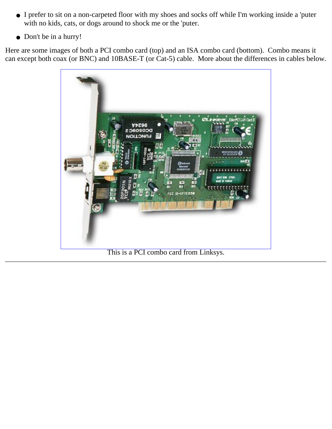- I prefer to sit on a non-carpeted floor with my shoes and socks off while I'm working inside a 'puter with no kids, cats, or dogs around to shock me or the 'puter.
- Don't be in a hurry!

Here are some images of both a PCI combo card (top) and an ISA combo card (bottom). Combo means it can except both coax (or BNC) and 10BASE-T (or Cat-5) cable. More about the differences in cables below.



This is a PCI combo card from Linksys.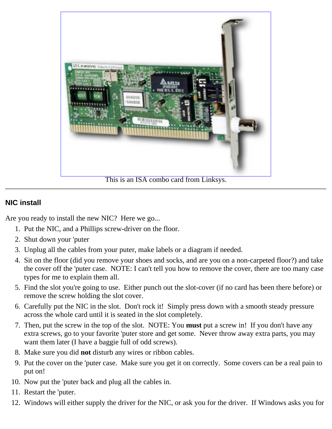

This is an ISA combo card from Linksys.

### <span id="page-3-0"></span>**NIC install**

Are you ready to install the new NIC? Here we go...

- 1. Put the NIC, and a Phillips screw-driver on the floor.
- 2. Shut down your 'puter
- 3. Unplug all the cables from your puter, make labels or a diagram if needed.
- 4. Sit on the floor (did you remove your shoes and socks, and are you on a non-carpeted floor?) and take the cover off the 'puter case. NOTE: I can't tell you how to remove the cover, there are too many case types for me to explain them all.
- Find the slot you're going to use. Either punch out the slot-cover (if no card has been there before) or 5. remove the screw holding the slot cover.
- Carefully put the NIC in the slot. Don't rock it! Simply press down with a smooth steady pressure 6. across the whole card until it is seated in the slot completely.
- 7. Then, put the screw in the top of the slot. NOTE: You **must** put a screw in! If you don't have any extra screws, go to your favorite 'puter store and get some. Never throw away extra parts, you may want them later (I have a baggie full of odd screws).
- 8. Make sure you did **not** disturb any wires or ribbon cables.
- Put the cover on the 'puter case. Make sure you get it on correctly. Some covers can be a real pain to 9. put on!
- 10. Now put the 'puter back and plug all the cables in.
- 11. Restart the 'puter.
- 12. Windows will either supply the driver for the NIC, or ask you for the driver. If Windows asks you for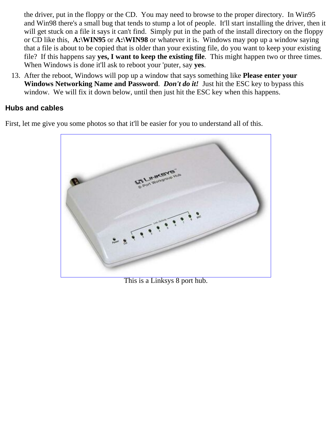the driver, put in the floppy or the CD. You may need to browse to the proper directory. In Win95 and Win98 there's a small bug that tends to stump a lot of people. It'll start installing the driver, then it will get stuck on a file it says it can't find. Simply put in the path of the install directory on the floppy or CD like this, **A:\WIN95** or **A:\WIN98** or whatever it is. Windows may pop up a window saying that a file is about to be copied that is older than your existing file, do you want to keep your existing file? If this happens say **yes, I want to keep the existing file**. This might happen two or three times. When Windows is done it'll ask to reboot your 'puter, say **yes**.

After the reboot, Windows will pop up a window that says something like **Please enter your** 13. **Windows Networking Name and Password**. *Don't do it!* Just hit the ESC key to bypass this window. We will fix it down below, until then just hit the ESC key when this happens.

#### <span id="page-4-0"></span>**Hubs and cables**

First, let me give you some photos so that it'll be easier for you to understand all of this.



This is a Linksys 8 port hub.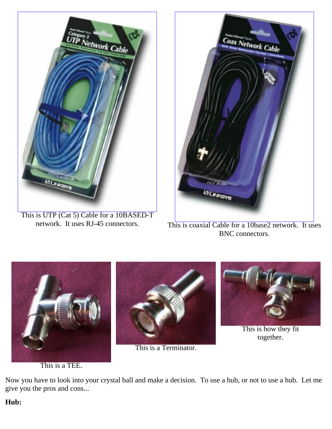

This is UTP (Cat 5) Cable for a 10BASED-T<br>network. It uses RJ-45 connectors.



This is coaxial Cable for a 10base2 network. It uses BNC connectors.



This is a TEE.

Now you have to look into your crystal ball and make a decision. To use a hub, or not to use a hub. Let me give you the pros and cons...

#### **Hub:**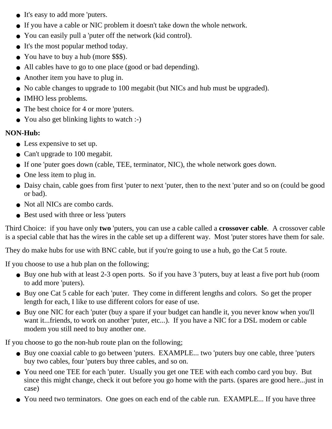- It's easy to add more 'puters.
- If you have a cable or NIC problem it doesn't take down the whole network.
- You can easily pull a 'puter off the network (kid control).
- It's the most popular method today.
- You have to buy a hub (more \$\$\$).
- All cables have to go to one place (good or bad depending).
- Another item you have to plug in.
- No cable changes to upgrade to 100 megabit (but NICs and hub must be upgraded).
- IMHO less problems.
- The best choice for 4 or more 'puters.
- You also get blinking lights to watch :-)

### **NON-Hub:**

- Less expensive to set up.
- Can't upgrade to 100 megabit.
- If one 'puter goes down (cable, TEE, terminator, NIC), the whole network goes down.
- One less item to plug in.
- Daisy chain, cable goes from first 'puter to next 'puter, then to the next 'puter and so on (could be good or bad).
- Not all NICs are combo cards.
- Best used with three or less 'puters

Third Choice: if you have only **two** 'puters, you can use a cable called a **crossover cable**. A crossover cable is a special cable that has the wires in the cable set up a different way. Most 'puter stores have them for sale.

They do make hubs for use with BNC cable, but if you're going to use a hub, go the Cat 5 route.

If you choose to use a hub plan on the following;

- Buy one hub with at least 2-3 open ports. So if you have 3 'puters, buy at least a five port hub (room to add more 'puters).
- Buy one Cat 5 cable for each 'puter. They come in different lengths and colors. So get the proper length for each, I like to use different colors for ease of use.
- Buy one NIC for each 'puter (buy a spare if your budget can handle it, you never know when you'll want it...friends, to work on another 'puter, etc...). If you have a NIC for a DSL modem or cable modem you still need to buy another one.

If you choose to go the non-hub route plan on the following;

- Buy one coaxial cable to go between 'puters. EXAMPLE... two 'puters buy one cable, three 'puters buy two cables, four 'puters buy three cables, and so on.
- You need one TEE for each 'puter. Usually you get one TEE with each combo card you buy. But since this might change, check it out before you go home with the parts. (spares are good here...just in case)
- You need two terminators. One goes on each end of the cable run. EXAMPLE... If you have three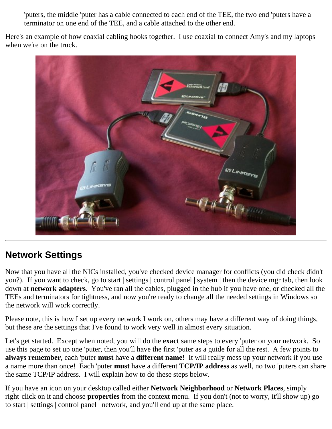'puters, the middle 'puter has a cable connected to each end of the TEE, the two end 'puters have a terminator on one end of the TEE, and a cable attached to the other end.

Here's an example of how coaxial cabling hooks together. I use coaxial to connect Amy's and my laptops when we're on the truck.



# <span id="page-7-0"></span>**Network Settings**

Now that you have all the NICs installed, you've checked device manager for conflicts (you did check didn't you?). If you want to check, go to start | settings | control panel | system | then the device mgr tab, then look down at **network adapters**. You've ran all the cables, plugged in the hub if you have one, or checked all the TEEs and terminators for tightness, and now you're ready to change all the needed settings in Windows so the network will work correctly.

Please note, this is how I set up every network I work on, others may have a different way of doing things, but these are the settings that I've found to work very well in almost every situation.

Let's get started. Except when noted, you will do the **exact** same steps to every 'puter on your network. So use this page to set up one 'puter, then you'll have the first 'puter as a guide for all the rest. A few points to **always remember**, each 'puter **must** have a **different name**! It will really mess up your network if you use a name more than once! Each 'puter **must** have a different **TCP/IP address** as well, no two 'puters can share the same TCP/IP address. I will explain how to do these steps below.

If you have an icon on your desktop called either **Network Neighborhood** or **Network Places**, simply right-click on it and choose **properties** from the context menu. If you don't (not to worry, it'll show up) go to start | settings | control panel | network, and you'll end up at the same place.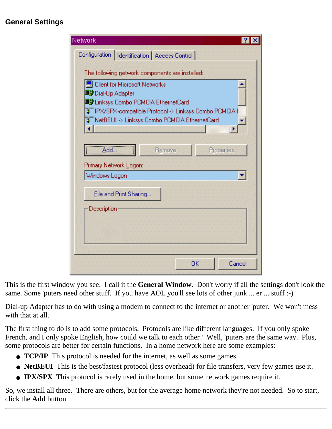### <span id="page-8-0"></span>**General Settings**

| Network                                         |
|-------------------------------------------------|
| Configuration   Identification   Access Control |
|                                                 |
| The following network components are installed: |
| <b>图 Client for Microsoft Networks</b>          |
| ■ Dial-Up Adapter                               |
| ■ Linksys Combo PCMCIA EthernetCard             |
| Ñ ̄NetBEUI -> Linksys Combo PCMCIA EthernetCard |
|                                                 |
|                                                 |
| Add<br>Properties<br>Remove                     |
| Primary Network Logon:                          |
| Windows Logon                                   |
|                                                 |
| File and Print Sharing                          |
| Description                                     |
|                                                 |
|                                                 |
|                                                 |
|                                                 |
| OΚ<br>Cancel                                    |
|                                                 |

This is the first window you see. I call it the **General Window**. Don't worry if all the settings don't look the same. Some 'puters need other stuff. If you have AOL you'll see lots of other junk ... er ... stuff :-)

Dial-up Adapter has to do with using a modem to connect to the internet or another 'puter. We won't mess with that at all.

The first thing to do is to add some protocols. Protocols are like different languages. If you only spoke French, and I only spoke English, how could we talk to each other? Well, 'puters are the same way. Plus, some protocols are better for certain functions. In a home network here are some examples:

- **TCP/IP** This protocol is needed for the internet, as well as some games.
- **NetBEUI** This is the best/fastest protocol (less overhead) for file transfers, very few games use it.
- **IPX/SPX** This protocol is rarely used in the home, but some network games require it.

So, we install all three. There are others, but for the average home network they're not needed. So to start, click the **Add** button.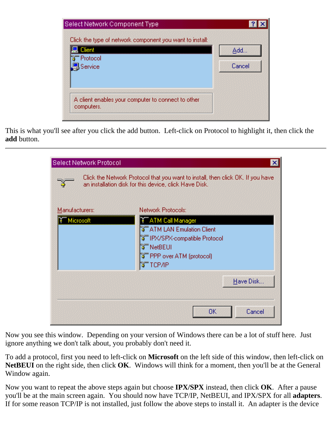| Select Network Component Type                                      |        |
|--------------------------------------------------------------------|--------|
| Click the type of network component you want to install:<br>Client | Add    |
| Protocol<br>Service                                                | Cancel |
|                                                                    |        |
| A client enables your computer to connect to other                 |        |

This is what you'll see after you click the add button. Left-click on Protocol to highlight it, then click the **add** button.

| Select Network Protocol     | ×<br>Click the Network Protocol that you want to install, then click OK. If you have<br>an installation disk for this device, click Have Disk.                              |
|-----------------------------|-----------------------------------------------------------------------------------------------------------------------------------------------------------------------------|
| Manufacturers:<br>Microsoft | Network Protocols:<br><b>TATM Call Manager</b><br><b>BF</b> ATM LAN Emulation Client<br>ि IPX/SPX-compatible Protocol<br>िँ NetBEUI<br>िँ PPP over ATM (protocol)<br>TCP/IP |
|                             | Have Disk<br>Cancel<br>0K                                                                                                                                                   |

Now you see this window. Depending on your version of Windows there can be a lot of stuff here. Just ignore anything we don't talk about, you probably don't need it.

To add a protocol, first you need to left-click on **Microsoft** on the left side of this window, then left-click on **NetBEUI** on the right side, then click **OK**. Windows will think for a moment, then you'll be at the General Window again.

Now you want to repeat the above steps again but choose **IPX/SPX** instead, then click **OK**. After a pause you'll be at the main screen again. You should now have TCP/IP, NetBEUI, and IPX/SPX for all **adapters**. If for some reason TCP/IP is not installed, just follow the above steps to install it. An adapter is the device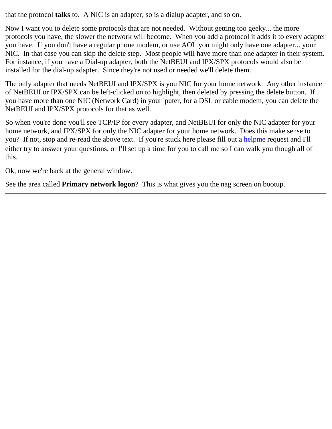that the protocol **talks** to. A NIC is an adapter, so is a dialup adapter, and so on.

Now I want you to delete some protocols that are not needed. Without getting too geeky... the more protocols you have, the slower the network will become. When you add a protocol it adds it to every adapter you have. If you don't have a regular phone modem, or use AOL you might only have one adapter... your NIC. In that case you can skip the delete step. Most people will have more than one adapter in their system. For instance, if you have a Dial-up adapter, both the NetBEUI and IPX/SPX protocols would also be installed for the dial-up adapter. Since they're not used or needed we'll delete them.

The only adapter that needs NetBEUI and IPX/SPX is you NIC for your home network. Any other instance of NetBEUI or IPX/SPX can be left-clicked on to highlight, then deleted by pressing the delete button. If you have more than one NIC (Network Card) in your 'puter, for a DSL or cable modem, you can delete the NetBEUI and IPX/SPX protocols for that as well.

So when you're done you'll see TCP/IP for every adapter, and NetBEUI for only the NIC adapter for your home network, and IPX/SPX for only the NIC adapter for your home network. Does this make sense to you? If not, stop and re-read the above text. If you're stuck here please fill out a [helpme](http://www.putergeek.com/help_request/) request and I'll either try to answer your questions, or I'll set up a time for you to call me so I can walk you though all of this.

Ok, now we're back at the general window.

See the area called **Primary network logon**? This is what gives you the nag screen on bootup.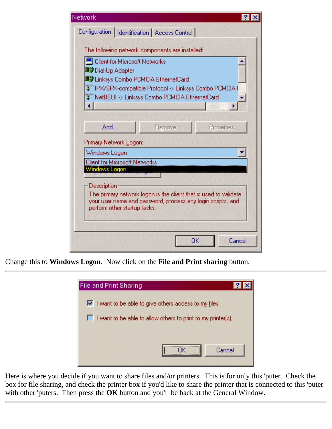| Network                                                                                     |        |    |            |  |
|---------------------------------------------------------------------------------------------|--------|----|------------|--|
| Configuration   Identification   Access Control                                             |        |    |            |  |
|                                                                                             |        |    |            |  |
| The following network components are installed:                                             |        |    |            |  |
| LE Client for Microsoft Networks                                                            |        |    |            |  |
| ■ Dial-Up Adapter<br>■ Linksys Combo PCMCIA EthernetCard                                    |        |    |            |  |
|                                                                                             |        |    |            |  |
| W⊤NetBEUI -> Linksys Combo PCMCIA EthernetCard                                              |        |    |            |  |
|                                                                                             |        |    |            |  |
|                                                                                             |        |    |            |  |
| Add                                                                                         | Remove |    | Properties |  |
| Primary Network Logon:                                                                      |        |    |            |  |
| Windows Logon                                                                               |        |    |            |  |
| <b>Client for Microsoft Networks</b>                                                        |        |    |            |  |
| Windows Logon                                                                               |        |    |            |  |
| Description                                                                                 |        |    |            |  |
| The primary network logon is the client that is used to validate                            |        |    |            |  |
| your user name and password, process any login scripts, and<br>perform other startup tasks. |        |    |            |  |
|                                                                                             |        |    |            |  |
|                                                                                             |        |    |            |  |
|                                                                                             |        | ОK | Cancel     |  |
|                                                                                             |        |    |            |  |

Change this to **Windows Logon**. Now click on the **File and Print sharing** button.

![](_page_11_Picture_2.jpeg)

Here is where you decide if you want to share files and/or printers. This is for only this 'puter. Check the box for file sharing, and check the printer box if you'd like to share the printer that is connected to this 'puter with other 'puters. Then press the **OK** button and you'll be back at the General Window.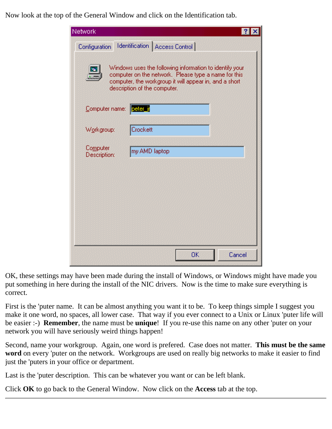Now look at the top of the General Window and click on the Identification tab.

| Network                  |                                                                                                                                                                                                           |        |
|--------------------------|-----------------------------------------------------------------------------------------------------------------------------------------------------------------------------------------------------------|--------|
| Configuration            | Identification   Access Control                                                                                                                                                                           |        |
|                          | Windows uses the following information to identify your<br>computer on the network. Please type a name for this<br>computer, the workgroup it will appear in, and a short<br>description of the computer. |        |
| Computer name:           | peter_in                                                                                                                                                                                                  |        |
| Workgroup:               | Crockett                                                                                                                                                                                                  |        |
| Computer<br>Description: | my AMD laptop                                                                                                                                                                                             |        |
|                          |                                                                                                                                                                                                           |        |
|                          |                                                                                                                                                                                                           |        |
|                          |                                                                                                                                                                                                           |        |
|                          |                                                                                                                                                                                                           |        |
|                          | <b>OK</b>                                                                                                                                                                                                 | Cancel |

OK, these settings may have been made during the install of Windows, or Windows might have made you put something in here during the install of the NIC drivers. Now is the time to make sure everything is correct.

First is the 'puter name. It can be almost anything you want it to be. To keep things simple I suggest you make it one word, no spaces, all lower case. That way if you ever connect to a Unix or Linux 'puter life will be easier :-) **Remember**, the name must be **unique**! If you re-use this name on any other 'puter on your network you will have seriously weird things happen!

Second, name your workgroup. Again, one word is prefered. Case does not matter. **This must be the same word** on every 'puter on the network. Workgroups are used on really big networks to make it easier to find just the 'puters in your office or department.

Last is the 'puter description. This can be whatever you want or can be left blank.

Click **OK** to go back to the General Window. Now click on the **Access** tab at the top.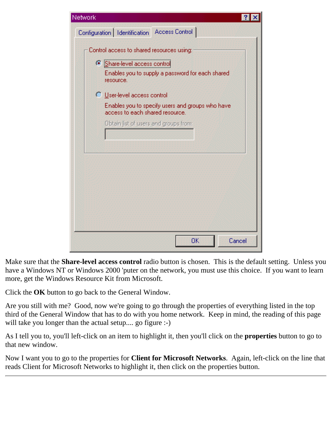![](_page_13_Picture_0.jpeg)

Make sure that the **Share-level access control** radio button is chosen. This is the default setting. Unless you have a Windows NT or Windows 2000 'puter on the network, you must use this choice. If you want to learn more, get the Windows Resource Kit from Microsoft.

Click the **OK** button to go back to the General Window.

Are you still with me? Good, now we're going to go through the properties of everything listed in the top third of the General Window that has to do with you home network. Keep in mind, the reading of this page will take you longer than the actual setup.... go figure :-)

As I tell you to, you'll left-click on an item to highlight it, then you'll click on the **properties** button to go to that new window.

Now I want you to go to the properties for **Client for Microsoft Networks**. Again, left-click on the line that reads Client for Microsoft Networks to highlight it, then click on the properties button.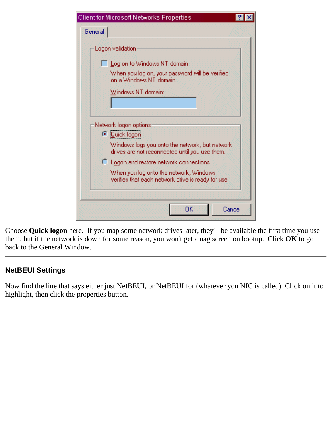|         | Client for Microsoft Networks Properties                                                         |  |
|---------|--------------------------------------------------------------------------------------------------|--|
| General |                                                                                                  |  |
|         | Logon validation                                                                                 |  |
|         | □ Log on to Windows NT domain                                                                    |  |
|         | When you log on, your password will be verified<br>on a Windows NT domain.                       |  |
|         | Windows NT domain:                                                                               |  |
|         |                                                                                                  |  |
|         |                                                                                                  |  |
|         | Network logon options                                                                            |  |
|         | <b><i>C</i></b> Quick logon                                                                      |  |
|         | Windows logs you onto the network, but network<br>drives are not reconnected until you use them. |  |
|         | $\bigcirc$ Logon and restore network connections                                                 |  |
|         | When you log onto the network, Windows<br>verifies that each network drive is ready for use.     |  |
|         |                                                                                                  |  |
|         | OΚ<br>Cancel                                                                                     |  |

Choose **Quick logon** here. If you map some network drives later, they'll be available the first time you use them, but if the network is down for some reason, you won't get a nag screen on bootup. Click **OK** to go back to the General Window.

### <span id="page-14-0"></span>**NetBEUI Settings**

Now find the line that says either just NetBEUI, or NetBEUI for (whatever you NIC is called) Click on it to highlight, then click the properties button.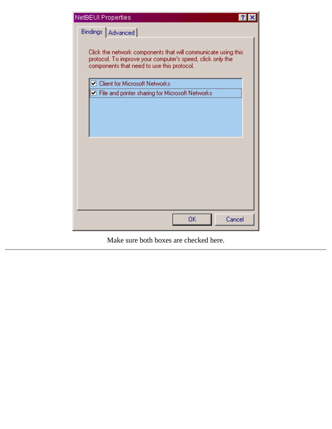| NetBEUI Properties<br>-?                                                                                                                                                  |
|---------------------------------------------------------------------------------------------------------------------------------------------------------------------------|
| Bindings   Advanced                                                                                                                                                       |
| Click the network components that will communicate using this<br>protocol. To improve your computer's speed, click only the<br>components that need to use this protocol. |
| □ Client for Microsoft Networks                                                                                                                                           |
| File and printer sharing for Microsoft Networks                                                                                                                           |
|                                                                                                                                                                           |
|                                                                                                                                                                           |
| Cancel<br>0K                                                                                                                                                              |

Make sure both boxes are checked here.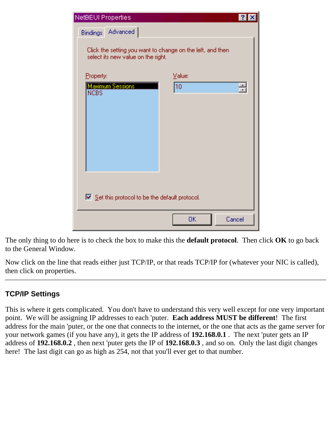| NetBEUI Properties                                                                               |              |        |
|--------------------------------------------------------------------------------------------------|--------------|--------|
| Advanced<br><b>Bindings</b>                                                                      |              |        |
| Click the setting you want to change on the left, and then<br>select its new value on the right. |              |        |
| Property:                                                                                        | Value:       |        |
| <b>Maximum Sessions</b><br><b>NCBS</b>                                                           | $ 10\rangle$ | 릘      |
| $\triangleright$ Set this protocol to be the default protocol.                                   |              |        |
|                                                                                                  | ОK           | Cancel |

The only thing to do here is to check the box to make this the **default protocol**. Then click **OK** to go back to the General Window.

Now click on the line that reads either just TCP/IP, or that reads TCP/IP for (whatever your NIC is called), then click on properties.

### <span id="page-16-0"></span>**TCP/IP Settings**

This is where it gets complicated. You don't have to understand this very well except for one very important point. We will be assigning IP addresses to each 'puter. **Each address MUST be different**! The first address for the main 'puter, or the one that connects to the internet, or the one that acts as the game server for your network games (if you have any), it gets the IP address of **192.168.0.1** . The next 'puter gets an IP address of **192.168.0.2** , then next 'puter gets the IP of **192.168.0.3** , and so on. Only the last digit changes here! The last digit can go as high as 254, not that you'll ever get to that number.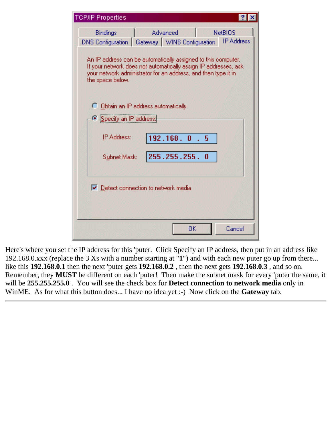| <b>TCP/IP Properties</b>                                                                                                                                                                                               |                                                  |                   |  |  |  |  |
|------------------------------------------------------------------------------------------------------------------------------------------------------------------------------------------------------------------------|--------------------------------------------------|-------------------|--|--|--|--|
| Bindings                                                                                                                                                                                                               | Advanced                                         | <b>NetBIOS</b>    |  |  |  |  |
|                                                                                                                                                                                                                        | DNS Configuration   Gateway   WINS Configuration | <b>IP Address</b> |  |  |  |  |
| An IP address can be automatically assigned to this computer.<br>If your network does not automatically assign IP addresses, ask<br>your network administrator for an address, and then type it in<br>the space below. |                                                  |                   |  |  |  |  |
|                                                                                                                                                                                                                        | C Obtain an IP address automatically             |                   |  |  |  |  |
| ● Specify an IP address:                                                                                                                                                                                               |                                                  |                   |  |  |  |  |
| <b>IP Address:</b>                                                                                                                                                                                                     | 192.168.0                                        | 5                 |  |  |  |  |
| Subnet Mask:                                                                                                                                                                                                           | 255.255.255.                                     | 0                 |  |  |  |  |
|                                                                                                                                                                                                                        | $\nabla$ Detect connection to network media      |                   |  |  |  |  |
|                                                                                                                                                                                                                        | OΚ                                               | Cancel            |  |  |  |  |

Here's where you set the IP address for this 'puter. Click Specify an IP address, then put in an address like 192.168.0.xxx (replace the 3 Xs with a number starting at "**1**") and with each new puter go up from there... like this **192.168.0.1** then the next 'puter gets **192.168.0.2** , then the next gets **192.168.0.3** , and so on. Remember, they **MUST** be different on each 'puter! Then make the subnet mask for every 'puter the same, it will be **255.255.255.0** . You will see the check box for **Detect connection to network media** only in WinME. As for what this button does... I have no idea yet :-) Now click on the **Gateway** tab.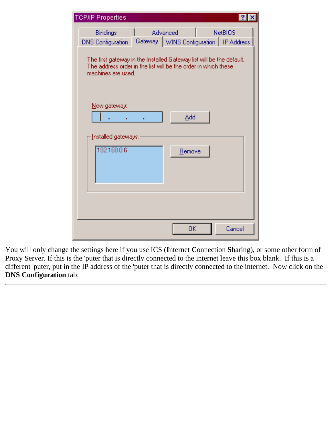| <b>TCP/IP Properties</b>                                                                                                                                     |                                                       | - ? 1          |  |
|--------------------------------------------------------------------------------------------------------------------------------------------------------------|-------------------------------------------------------|----------------|--|
| Bindings<br><b>DNS</b> Configuration                                                                                                                         | Advanced<br>Gateway   WINS Configuration   IP Address | <b>NetBIOS</b> |  |
| The first gateway in the Installed Gateway list will be the default.<br>The address order in the list will be the order in which these<br>machines are used. |                                                       |                |  |
| New gateway:                                                                                                                                                 | Add                                                   |                |  |
| Installed gateways:<br>192.168.0.6                                                                                                                           | Remove                                                |                |  |
|                                                                                                                                                              | ОK                                                    | Cancel         |  |

You will only change the settings here if you use ICS (**I**nternet **C**onnection **S**haring), or some other form of Proxy Server. If this is the 'puter that is directly connected to the internet leave this box blank. If this is a different 'puter, put in the IP address of the 'puter that is directly connected to the internet. Now click on the **DNS Configuration** tab.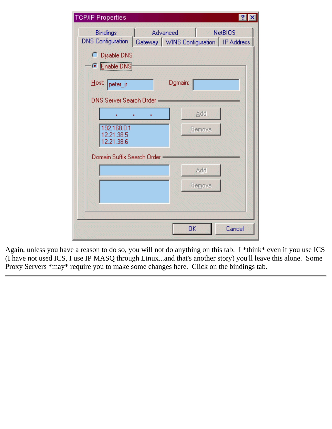| <b>TCP/IP Properties</b>                                                  |                  |               | ?              |
|---------------------------------------------------------------------------|------------------|---------------|----------------|
| Bindings<br>DNS Configuration   Gateway   WINS Configuration   IP Address | Advanced         |               | <b>NetBIOS</b> |
| C Disable DNS<br>● Enable DNS                                             |                  |               |                |
| Host: peter_jr                                                            | D <u>o</u> main: |               |                |
| DNS Server Search Order -                                                 |                  | Add           |                |
| 192.168.0.1<br>12.21.38.5<br>12.21.38.6                                   |                  | <b>Remove</b> |                |
| Domain Suffix Search Order                                                |                  |               |                |
|                                                                           |                  | Add           |                |
|                                                                           |                  | Remove        |                |
|                                                                           |                  |               |                |
|                                                                           |                  |               |                |
|                                                                           | ОK               |               | Cancel         |

Again, unless you have a reason to do so, you will not do anything on this tab. I \*think\* even if you use ICS (I have not used ICS, I use IP MASQ through Linux...and that's another story) you'll leave this alone. Some Proxy Servers \*may\* require you to make some changes here. Click on the bindings tab.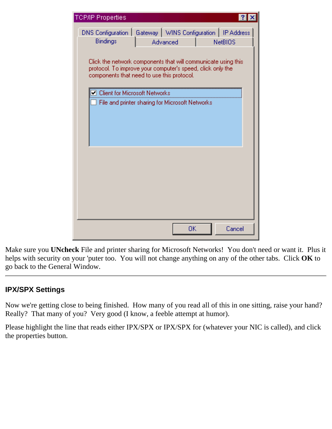| <b>TCP/IP Properties</b>                                                                                                                                                  |          |                |
|---------------------------------------------------------------------------------------------------------------------------------------------------------------------------|----------|----------------|
| DNS Configuration   Gateway   WINS Configuration   IP Address<br>Bindings                                                                                                 | Advanced | <b>NetBIOS</b> |
| Click the network components that will communicate using this<br>protocol. To improve your computer's speed, click only the<br>components that need to use this protocol. |          |                |
| ◯ Client for Microsoft Networks                                                                                                                                           |          |                |
| File and printer sharing for Microsoft Networks                                                                                                                           |          |                |
|                                                                                                                                                                           |          |                |
|                                                                                                                                                                           |          |                |
|                                                                                                                                                                           | ОK       | Cancel         |

Make sure you **UNcheck** File and printer sharing for Microsoft Networks! You don't need or want it. Plus it helps with security on your 'puter too. You will not change anything on any of the other tabs. Click **OK** to go back to the General Window.

### <span id="page-20-0"></span>**IPX/SPX Settings**

Now we're getting close to being finished. How many of you read all of this in one sitting, raise your hand? Really? That many of you? Very good (I know, a feeble attempt at humor).

Please highlight the line that reads either IPX/SPX or IPX/SPX for (whatever your NIC is called), and click the properties button.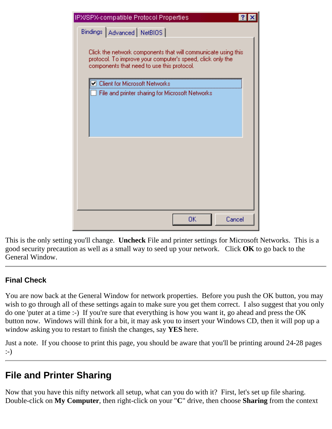| IPX/SPX-compatible Protocol Properties                                                                                                                                    |  |
|---------------------------------------------------------------------------------------------------------------------------------------------------------------------------|--|
| Bindings   Advanced   NetBIOS                                                                                                                                             |  |
| Click the network components that will communicate using this<br>protocol. To improve your computer's speed, click only the<br>components that need to use this protocol. |  |
| $\Box$ Client for Microsoft Networks                                                                                                                                      |  |
| File and printer sharing for Microsoft Networks                                                                                                                           |  |
|                                                                                                                                                                           |  |
|                                                                                                                                                                           |  |
|                                                                                                                                                                           |  |
|                                                                                                                                                                           |  |
| Cancel<br>OΚ                                                                                                                                                              |  |

This is the only setting you'll change. **Uncheck** File and printer settings for Microsoft Networks. This is a good security precaution as well as a small way to seed up your network. Click **OK** to go back to the General Window.

### <span id="page-21-0"></span>**Final Check**

You are now back at the General Window for network properties. Before you push the OK button, you may wish to go through all of these settings again to make sure you get them correct. I also suggest that you only do one 'puter at a time :-) If you're sure that everything is how you want it, go ahead and press the OK button now. Windows will think for a bit, it may ask you to insert your Windows CD, then it will pop up a window asking you to restart to finish the changes, say **YES** here.

Just a note. If you choose to print this page, you should be aware that you'll be printing around 24-28 pages :-)

# <span id="page-21-1"></span>**File and Printer Sharing**

Now that you have this nifty network all setup, what can you do with it? First, let's set up file sharing. Double-click on **My Computer**, then right-click on your "**C**" drive, then choose **Sharing** from the context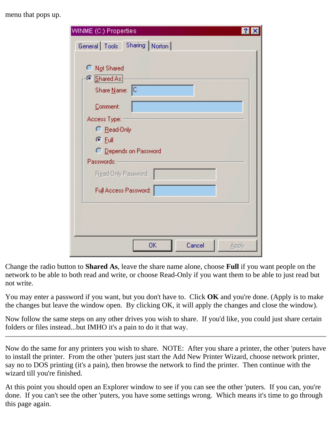menu that pops up.

| WINME (C:) Properties                                                                                                                |
|--------------------------------------------------------------------------------------------------------------------------------------|
| General Tools Sharing Norton                                                                                                         |
| C Not Shared<br><b>6</b> Shared As:<br>Share Name: C<br>Comment:<br>Access Type:<br>C Read-Only<br>$G$ Eull<br>C Depends on Password |
| Passwords:                                                                                                                           |
| Read-Only Password:                                                                                                                  |
| Full Access Password:                                                                                                                |
|                                                                                                                                      |
| OK<br>Cancel<br>Apply                                                                                                                |

Change the radio button to **Shared As**, leave the share name alone, choose **Full** if you want people on the network to be able to both read and write, or choose Read-Only if you want them to be able to just read but not write.

You may enter a password if you want, but you don't have to. Click **OK** and you're done. (Apply is to make the changes but leave the window open. By clicking OK, it will apply the changes and close the window).

Now follow the same steps on any other drives you wish to share. If you'd like, you could just share certain folders or files instead...but IMHO it's a pain to do it that way.

Now do the same for any printers you wish to share. NOTE: After you share a printer, the other 'puters have to install the printer. From the other 'puters just start the Add New Printer Wizard, choose network printer, say no to DOS printing (it's a pain), then browse the network to find the printer. Then continue with the wizard till you're finished.

At this point you should open an Explorer window to see if you can see the other 'puters. If you can, you're done. If you can't see the other 'puters, you have some settings wrong. Which means it's time to go through this page again.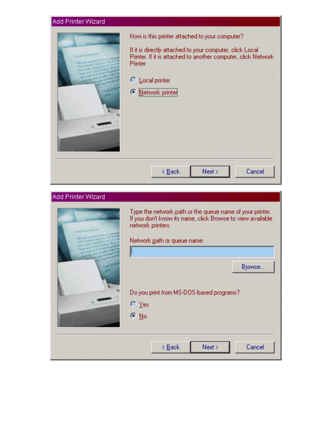| Add Printer Wizard |                                                                                                                                                                                                                                       |
|--------------------|---------------------------------------------------------------------------------------------------------------------------------------------------------------------------------------------------------------------------------------|
|                    | How is this printer attached to your computer?<br>If it is directly attached to your computer, click Local<br>Printer. If it is attached to another computer, click Network<br>Printer<br>C Local printer<br><b>E</b> Network printer |
|                    | Next ><br>Cancel<br>$\leq$ Back                                                                                                                                                                                                       |

| Add Printer Wizard                              |                                                                                                                                                                            |  |
|-------------------------------------------------|----------------------------------------------------------------------------------------------------------------------------------------------------------------------------|--|
| 1 34 77 81<br>2 H-F1 Bain<br><b>Pal Address</b> | Type the network path or the queue name of your printer.<br>If you don't know its name, click Browse to view available<br>network printers.<br>Network path or queue name: |  |
|                                                 | Browse<br>Do you print from MS-DOS-based programs?<br>$\bigcirc$ Yes<br>$G$ No                                                                                             |  |
|                                                 | Next ><br>Cancel<br>$\leq$ Back                                                                                                                                            |  |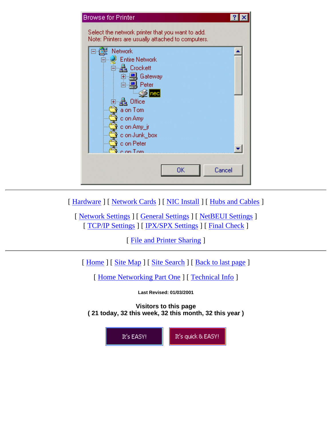| <b>Browse for Printer</b>                                                                                              | -? |
|------------------------------------------------------------------------------------------------------------------------|----|
| Select the network printer that you want to add.<br>Note: Printers are usually attached to computers.                  |    |
| Network<br><b>Entire Network</b><br>Crockett<br>由 具 Gateway<br>کا سر ص<br>빜 Peter<br>$\odot$ nec<br>Office<br>a on Tom |    |
| c on Amy<br>c on Amy_jr<br>c on Junk_box<br>c on Peter<br>c.on Tom<br>Cancel<br>ОK                                     |    |

[ [Hardware](#page-1-0) ] [ [Network Cards](#page-1-1) ] [ [NIC Install](#page-3-0) ] [ [Hubs and Cables](#page-4-0) ]

[ [Network Settings](#page-7-0) ] [ [General Settings](#page-8-0) ] [ [NetBEUI Settings](#page-14-0) ] [ [TCP/IP Settings](#page-16-0) ] [ [IPX/SPX Settings](#page-20-0) ] [ [Final Check](#page-21-0) ]

[ [File and Printer Sharing](#page-21-1) ]

[ [Home](http://www.putergeek.com/index.shtml) ] [ [Site Map](http://www.putergeek.com/sitemap/) ] [ [Site Search](http://www.putergeek.com/search/) ] [ [Back to last page](javascript:history.go(-1)) ]

[ [Home Networking Part One](http://www.putergeek.com/home_network/) ] [ [Technical Info](http://www.putergeek.com/home_network_2/tech_info.shtml) ]

**Last Revised: 01/03/2001**

**Visitors to this page ( 21 today, 32 this week, 32 this month, 32 this year )**

![](_page_24_Picture_8.jpeg)